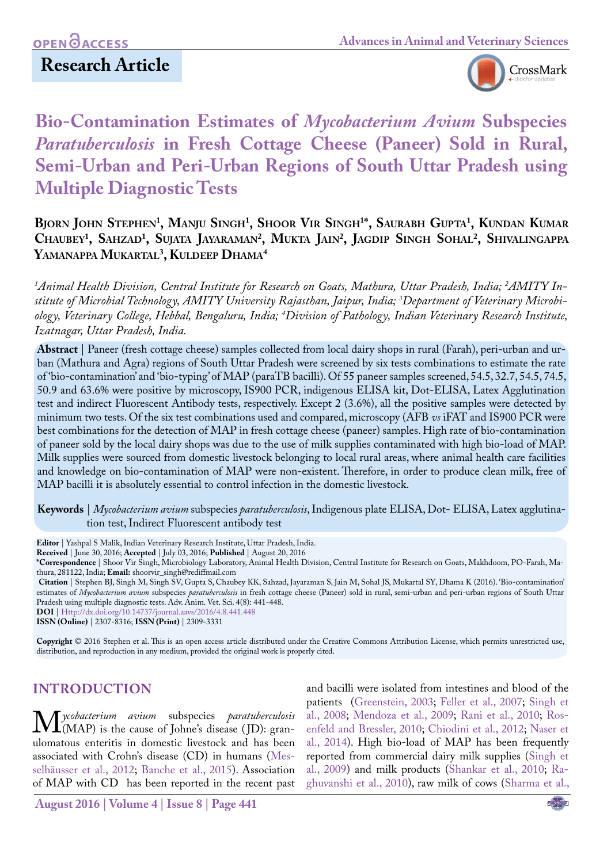# **Research Article**



# **Bio-Contamination Estimates of** *Mycobacterium Avium* **Subspecies**  *Paratuberculosis* **in Fresh Cottage Cheese (Paneer) Sold in Rural, Semi-Urban and Peri-Urban Regions of South Uttar Pradesh using Multiple Diagnostic Tests**

**Bjorn John Stephen1 , Manju Singh1 , Shoor Vir Singh1 \*, Saurabh Gupta1 , Kundan Kumar Chaubey1 , Sahzad1 , Sujata Jayaraman2 , Mukta Jain2 , Jagdip Singh Sohal2 , Shivalingappa Yamanappa Mukartal3 , Kuldeep Dhama4**

*1 Animal Health Division, Central Institute for Research on Goats, Mathura, Uttar Pradesh, India; 2 AMITY Institute of Microbial Technology, AMITY University Rajasthan, Jaipur, India; 3 Department of Veterinary Microbiology, Veterinary College, Hebbal, Bengaluru, India; 4 Division of Pathology, Indian Veterinary Research Institute, Izatnagar, Uttar Pradesh, India.*

**Abstract** | Paneer (fresh cottage cheese) samples collected from local dairy shops in rural (Farah), peri-urban and urban (Mathura and Agra) regions of South Uttar Pradesh were screened by six tests combinations to estimate the rate of 'bio-contamination' and 'bio-typing' of MAP (paraTB bacilli). Of 55 paneer samples screened, 54.5, 32.7, 54.5, 74.5, 50.9 and 63.6% were positive by microscopy, IS900 PCR, indigenous ELISA kit, Dot-ELISA, Latex Agglutination test and indirect Fluorescent Antibody tests, respectively. Except 2 (3.6%), all the positive samples were detected by minimum two tests. Of the six test combinations used and compared, microscopy (AFB *vs* iFAT and IS900 PCR were best combinations for the detection of MAP in fresh cottage cheese (paneer) samples. High rate of bio-contamination of paneer sold by the local dairy shops was due to the use of milk supplies contaminated with high bio-load of MAP. Milk supplies were sourced from domestic livestock belonging to local rural areas, where animal health care facilities and knowledge on bio-contamination of MAP were non-existent. Therefore, in order to produce clean milk, free of MAP bacilli it is absolutely essential to control infection in the domestic livestock.

**Keywords** | *Mycobacterium avium* subspecies *paratuberculosis*, Indigenous plate ELISA, Dot- ELISA, Latex agglutination test, Indirect Fluorescent antibody test

**Editor** | Yashpal S Malik, Indian Veterinary Research Institute, Uttar Pradesh, India.

**Received** | June 30, 2016; **Accepted** | July 03, 2016; **Published** | August 20, 2016

**\*Correspondence** | Shoor Vir Singh, Microbiology Laboratory, Animal Health Division, Central Institute for Research on Goats, Makhdoom, PO-Farah, Mathura, 281122, India; **Email:** shoorvir\_singh@rediffmail.com

**Citation** | Stephen BJ, Singh M, Singh SV, Gupta S, Chaubey KK, Sahzad, Jayaraman S, Jain M, Sohal JS, Mukartal SY, Dhama K (2016). 'Bio-contamination' estimates of *Mycobacterium avium* subspecies *paratuberculosis* in fresh cottage cheese (Paneer) sold in rural, semi-urban and peri-urban regions of South Uttar Pradesh using multiple diagnostic tests. Adv. Anim. Vet. Sci. 4(8): 441-448.

**DOI** | <Http://dx.doi.org/10.14737/journal.aavs/2016/4.8.441.448>

**ISSN (Online)** | 2307-8316; **ISSN (Print)** | 2309-3331

**Copyright** © 2016 Stephen et al. This is an open access article distributed under the Creative Commons Attribution License, which permits unrestricted use, distribution, and reproduction in any medium, provided the original work is properly cited.

## **INTRODUCTION**

**M** ycobacterium avium subspecies paratuberculosis<br>
ulomatous enteritis in domestic livestock and has been ulomatous enteritis in domestic livestock and has been associated with Crohn's disease (CD) in humans (Messelhäusser et al., 2012; [Banche et al., 2015](#page-6-0)). Association of MAP with CD has been reported in the recent past

and bacilli were isolated from intestines and blood of the patients (Greenstein, 2003; Feller et al., 2007; [Singh et](#page-7-0) [al., 2008](#page-7-0); [Mendoza et al., 2009](#page-7-1); [Rani et al., 2010;](#page-7-2) Rosenfeld and Bressler, 2010; Chiodini et al., 2012; [Naser et](#page-7-3) [al., 2014](#page-7-3)). High bio-load of MAP has been frequently reported from commercial dairy milk supplies [\(Singh et](#page-7-4) [al., 2009\)](#page-7-4) and milk products [\(Shankar et al., 2010](#page-7-5); [Ra](#page-7-6)[ghuvanshi et al., 2010](#page-7-6)), raw milk of cows ([Sharma et al.,](#page-7-7)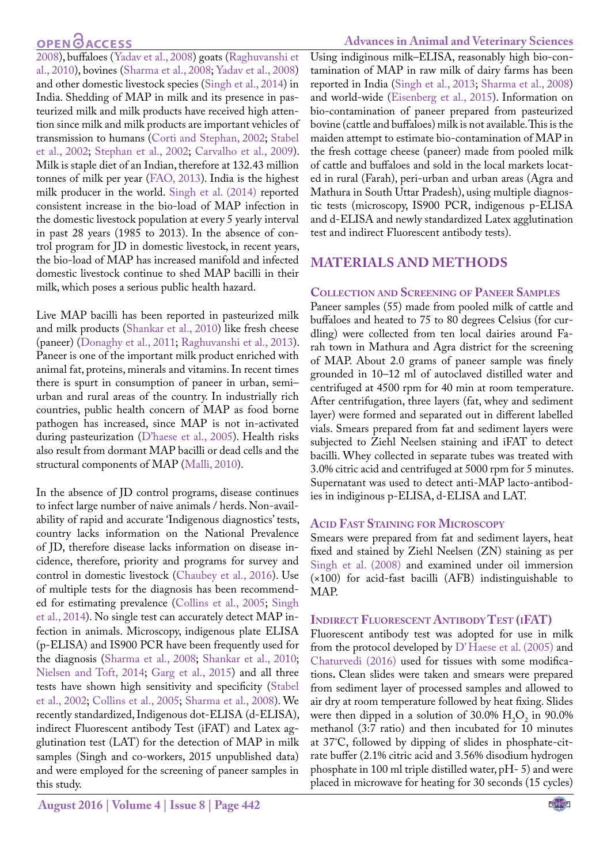# **OPEN**<sub>d</sub>

[2008](#page-7-7)), buffaloes ([Yadav et al., 2008\)](#page-7-8) goats (Raghuvanshi et al., 2010), bovines ([Sharma et al., 2008;](#page-7-7) [Yadav et al., 2008\)](#page-7-8) and other domestic livestock species ([Singh et al., 2014](#page-7-9)) in India. Shedding of MAP in milk and its presence in pasteurized milk and milk products have received high attention since milk and milk products are important vehicles of transmission to humans ([Corti and Stephan, 2002](#page-6-1); [Stabel](#page-7-10) [et al., 2002;](#page-7-10) Stephan et al., 2002; [Carvalho et al., 2009\)](#page-6-2). Milk is staple diet of an Indian, therefore at 132.43 million tonnes of milk per year ([FAO, 2013\)](#page-6-3). India is the highest milk producer in the world. [Singh et al. \(2014\) r](#page-7-9)eported consistent increase in the bio-load of MAP infection in the domestic livestock population at every 5 yearly interval in past 28 years (1985 to 2013). In the absence of control program for JD in domestic livestock, in recent years, the bio-load of MAP has increased manifold and infected domestic livestock continue to shed MAP bacilli in their milk, which poses a serious public health hazard.

Live MAP bacilli has been reported in pasteurized milk and milk products [\(Shankar et al., 2010\)](#page-7-5) like fresh cheese (paneer) ([Donaghy et al., 2011](#page-6-4); [Raghuvanshi et al., 2013\)](#page-7-6). Paneer is one of the important milk product enriched with animal fat, proteins, minerals and vitamins. In recent times there is spurt in consumption of paneer in urban, semi– urban and rural areas of the country. In industrially rich countries, public health concern of MAP as food borne pathogen has increased, since MAP is not in-activated during pasteurization (D'haese et al., 2005). Health risks also result from dormant MAP bacilli or dead cells and the structural components of MAP [\(Malli, 2010](#page-6-5)).

In the absence of JD control programs, disease continues to infect large number of naive animals / herds. Non-availability of rapid and accurate 'Indigenous diagnostics' tests, country lacks information on the National Prevalence of JD, therefore disease lacks information on disease incidence, therefore, priority and programs for survey and control in domestic livestock ([Chaubey et al., 2016](#page-6-6)). Use of multiple tests for the diagnosis has been recommended for estimating prevalence [\(Collins et al., 2005](#page-6-7); [Singh](#page-7-9) [et al., 2014](#page-7-9)). No single test can accurately detect MAP infection in animals. Microscopy, indigenous plate ELISA (p-ELISA) and IS900 PCR have been frequently used for the diagnosis ([Sharma et al., 2008;](#page-7-7) [Shankar et al., 2010;](#page-7-5) [Nielsen and Toft, 2014;](#page-7-11) Garg et al., 2015) and all three tests have shown high sensitivity and specificity ([Stabel](#page-7-10) [et al., 2002](#page-7-10); [Collins et al., 2005;](#page-6-7) [Sharma et al., 2008](#page-7-7)). We recently standardized, Indigenous dot-ELISA (d-ELISA), indirect Fluorescent antibody Test (iFAT) and Latex agglutination test (LAT) for the detection of MAP in milk samples (Singh and co-workers, 2015 unpublished data) and were employed for the screening of paneer samples in this study.

Using indiginous milk–ELISA, reasonably high bio-contamination of MAP in raw milk of dairy farms has been reported in India [\(Singh et al., 2013](#page-7-12); [Sharma et al., 2008\)](#page-7-7) and world-wide [\(Eisenberg et al., 2015\)](#page-6-8). Information on bio-contamination of paneer prepared from pasteurized bovine (cattle and buffaloes) milk is not available. This is the maiden attempt to estimate bio-contamination of MAP in the fresh cottage cheese (paneer) made from pooled milk of cattle and buffaloes and sold in the local markets located in rural (Farah), peri-urban and urban areas (Agra and Mathura in South Uttar Pradesh), using multiple diagnostic tests (microscopy, IS900 PCR, indigenous p-ELISA and d-ELISA and newly standardized Latex agglutination test and indirect Fluorescent antibody tests).

## **MATERIALS AND METHODS**

#### **Collection and Screening of Paneer Samples**

Paneer samples (55) made from pooled milk of cattle and buffaloes and heated to 75 to 80 degrees Celsius (for curdling) were collected from ten local dairies around Farah town in Mathura and Agra district for the screening of MAP. About 2.0 grams of paneer sample was finely grounded in 10–12 ml of autoclaved distilled water and centrifuged at 4500 rpm for 40 min at room temperature. After centrifugation, three layers (fat, whey and sediment layer) were formed and separated out in different labelled vials. Smears prepared from fat and sediment layers were subjected to Ziehl Neelsen staining and iFAT to detect bacilli. Whey collected in separate tubes was treated with 3.0% citric acid and centrifuged at 5000 rpm for 5 minutes. Supernatant was used to detect anti-MAP lacto-antibodies in indiginous p-ELISA, d-ELISA and LAT.

#### **Acid Fast Staining for Microscopy**

Smears were prepared from fat and sediment layers, heat fixed and stained by Ziehl Neelsen (ZN) staining as per [Singh et al. \(2008\)](#page-7-0) and examined under oil immersion (×100) for acid-fast bacilli (AFB) indistinguishable to MAP.

#### **Indirect Fluorescent Antibody Test (iFAT)**

Fluorescent antibody test was adopted for use in milk from the protocol developed by D' Haese et al. (2005) and [Chaturvedi \(2016\)](#page-6-9) used for tissues with some modifications**.** Clean slides were taken and smears were prepared from sediment layer of processed samples and allowed to air dry at room temperature followed by heat fixing. Slides were then dipped in a solution of  $30.0\%$  H<sub>2</sub>O<sub>2</sub> in 90.0% methanol (3:7 ratio) and then incubated for 10 minutes at 37˚C, followed by dipping of slides in phosphate-citrate buffer (2.1% citric acid and 3.56% disodium hydrogen phosphate in 100 ml triple distilled water, pH- 5) and were placed in microwave for heating for 30 seconds (15 cycles)

**NEXUS**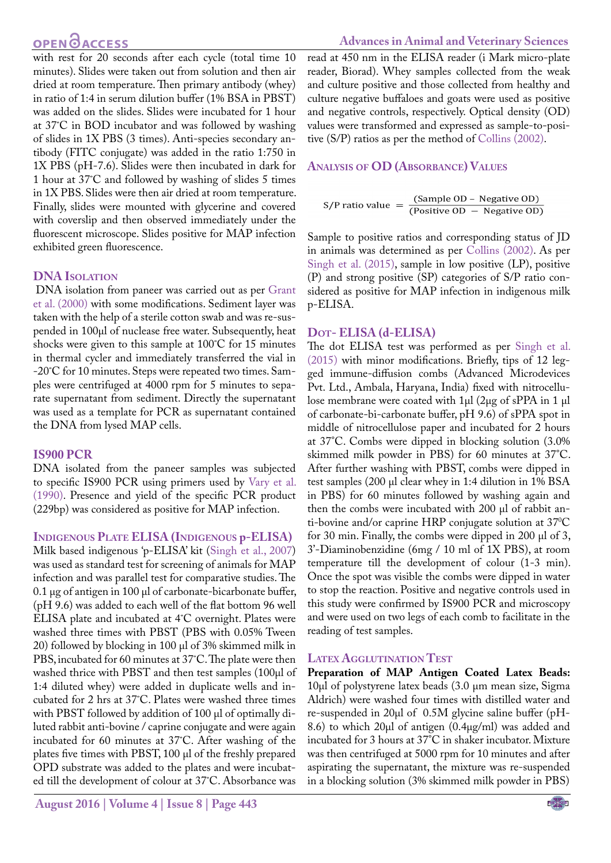# **OPEN**<sub>d</sub>

with rest for 20 seconds after each cycle (total time 10 minutes). Slides were taken out from solution and then air dried at room temperature. Then primary antibody (whey) in ratio of 1:4 in serum dilution buffer (1% BSA in PBST) was added on the slides. Slides were incubated for 1 hour at 37˚C in BOD incubator and was followed by washing of slides in 1X PBS (3 times). Anti-species secondary antibody (FITC conjugate) was added in the ratio 1:750 in 1X PBS (pH-7.6). Slides were then incubated in dark for 1 hour at 37˚C and followed by washing of slides 5 times in 1X PBS. Slides were then air dried at room temperature. Finally, slides were mounted with glycerine and covered with coverslip and then observed immediately under the fluorescent microscope. Slides positive for MAP infection exhibited green fluorescence.

#### **DNA Isolation**

DNA isolation from paneer was carried out as per Grant et al. (2000) with some modifications. Sediment layer was taken with the help of a sterile cotton swab and was re-suspended in 100µl of nuclease free water. Subsequently, heat shocks were given to this sample at 100˚C for 15 minutes in thermal cycler and immediately transferred the vial in -20˚C for 10 minutes. Steps were repeated two times. Samples were centrifuged at 4000 rpm for 5 minutes to separate supernatant from sediment. Directly the supernatant was used as a template for PCR as supernatant contained the DNA from lysed MAP cells.

#### **IS900 PCR**

DNA isolated from the paneer samples was subjected to specific IS900 PCR using primers used by [Vary et al.](#page-7-13) [\(1990\).](#page-7-13) Presence and yield of the specific PCR product (229bp) was considered as positive for MAP infection.

**Indigenous Plate ELISA (Indigenous p-ELISA)** Milk based indigenous 'p-ELISA' kit ([Singh et al., 2007\)](#page-7-14) was used as standard test for screening of animals for MAP infection and was parallel test for comparative studies. The 0.1 µg of antigen in 100 µl of carbonate-bicarbonate buffer, (pH 9.6) was added to each well of the flat bottom 96 well ELISA plate and incubated at 4˚C overnight. Plates were washed three times with PBST (PBS with 0.05% Tween 20) followed by blocking in 100 µl of 3% skimmed milk in PBS, incubated for 60 minutes at 37˚C. The plate were then washed thrice with PBST and then test samples (100µl of 1:4 diluted whey) were added in duplicate wells and incubated for 2 hrs at 37˚C. Plates were washed three times with PBST followed by addition of 100 µl of optimally diluted rabbit anti-bovine / caprine conjugate and were again incubated for 60 minutes at 37˚C. After washing of the plates five times with PBST, 100 µl of the freshly prepared OPD substrate was added to the plates and were incubated till the development of colour at 37˚C. Absorbance was

## **Advances in Animal and Veterinary Sciences**

read at 450 nm in the ELISA reader (i Mark micro-plate reader, Biorad). Whey samples collected from the weak and culture positive and those collected from healthy and culture negative buffaloes and goats were used as positive and negative controls, respectively. Optical density (OD) values were transformed and expressed as sample-to-positive (S/P) ratios as per the method of [Collins \(2002\)](#page-6-10).

## **Analysis of OD (Absorbance) Values**

(Sample OD - Negative OD) S/P ratio value =  $\frac{\text{(Sample OD - Negative OD)}}{\text{(Positive OD - Negative OD)}}$ 

Sample to positive ratios and corresponding status of JD in animals was determined as per [Collins \(2002\).](#page-6-10) As per [Singh et al. \(2015\),](#page-7-15) sample in low positive (LP), positive (P) and strong positive (SP) categories of S/P ratio considered as positive for MAP infection in indigenous milk p-ELISA.

#### **Dot- ELISA (d-ELISA)**

The dot ELISA test was performed as per [Singh et al.](#page-7-15)  [\(2015\)](#page-7-15) with minor modifications. Briefly, tips of 12 legged immune-diffusion combs (Advanced Microdevices Pvt. Ltd., Ambala, Haryana, India) fixed with nitrocellulose membrane were coated with 1µl (2µg of sPPA in 1 µl of carbonate-bi-carbonate buffer, pH 9.6) of sPPA spot in middle of nitrocellulose paper and incubated for 2 hours at 37°C. Combs were dipped in blocking solution (3.0% skimmed milk powder in PBS) for 60 minutes at 37°C. After further washing with PBST, combs were dipped in test samples (200 µl clear whey in 1:4 dilution in 1% BSA in PBS) for 60 minutes followed by washing again and then the combs were incubated with 200 µl of rabbit anti-bovine and/or caprine HRP conjugate solution at 370 C for 30 min. Finally, the combs were dipped in 200 µl of 3, 3'-Diaminobenzidine (6mg / 10 ml of 1X PBS), at room temperature till the development of colour (1-3 min). Once the spot was visible the combs were dipped in water to stop the reaction. Positive and negative controls used in this study were confirmed by IS900 PCR and microscopy and were used on two legs of each comb to facilitate in the reading of test samples.

#### **Latex Agglutination Test**

**Preparation of MAP Antigen Coated Latex Beads:**  10µl of polystyrene latex beads (3.0 µm mean size, Sigma Aldrich) were washed four times with distilled water and re-suspended in 20µl of 0.5M glycine saline buffer (pH-8.6) to which 20µl of antigen (0.4µg/ml) was added and incubated for 3 hours at 37°C in shaker incubator. Mixture was then centrifuged at 5000 rpm for 10 minutes and after aspirating the supernatant, the mixture was re-suspended in a blocking solution (3% skimmed milk powder in PBS)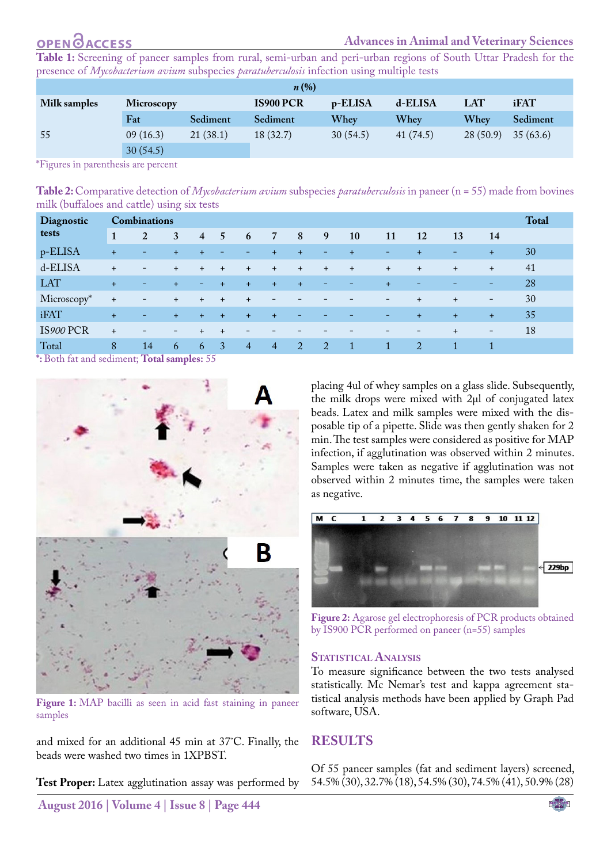# **OPENOACCESS**

<span id="page-3-2"></span>**Table 1:** Screening of paneer samples from rural, semi-urban and peri-urban regions of South Uttar Pradesh for the presence of *Mycobacterium avium* subspecies *paratuberculosis* infection using multiple tests

| $n\left(\%\right)$ |            |          |                  |          |           |            |          |  |  |
|--------------------|------------|----------|------------------|----------|-----------|------------|----------|--|--|
| Milk samples       | Microscopy |          | <b>IS900 PCR</b> | p-ELISA  | d-ELISA   | <b>LAT</b> | iFAT     |  |  |
|                    | Fat        | Sediment | Sediment         | Whey     | Whev      | Whey       | Sediment |  |  |
| 55                 | 09(16.3)   | 21(38.1) | 18(32.7)         | 30(54.5) | 41 (74.5) | 28(50.9)   | 35(63.6) |  |  |
|                    | 30(54.5)   |          |                  |          |           |            |          |  |  |

\*Figures in parenthesis are percent

<span id="page-3-3"></span>**Table 2:** Comparative detection of *Mycobacterium avium* subspecies *paratuberculosis* in paneer (n = 55) made from bovines milk (buffaloes and cattle) using six tests

| Diagnostic                             | $\cdot$<br><b>Combinations</b> |                          |                          |                          |                          |                          |                          |                          |     |                          |              |                          |                          | <b>Total</b>             |    |
|----------------------------------------|--------------------------------|--------------------------|--------------------------|--------------------------|--------------------------|--------------------------|--------------------------|--------------------------|-----|--------------------------|--------------|--------------------------|--------------------------|--------------------------|----|
| tests                                  | 1                              | 2                        | 3                        | $\overline{4}$           | 5                        | 6                        | 7                        | 8                        | 9   | 10                       | 11           | 12                       | 13                       | 14                       |    |
| p-ELISA                                | $+$                            | $\overline{\phantom{0}}$ | $\ddot{}$                | $+$                      | $\overline{\phantom{a}}$ | -                        | $\ddot{}$                | $+$                      | -   | $+$                      | -            | $\ddot{}$                | -                        | $\ddot{}$                | 30 |
| d-ELISA                                | $+$                            | $\overline{\phantom{m}}$ | $+$                      | $+$                      | $+$                      | $+$                      | $+$                      | $+$                      | $+$ | $+$                      | $+$          | $+$                      | $\ddot{}$                | $+$                      | 41 |
| <b>LAT</b>                             | $+$                            | -                        | $+$                      | $\overline{\phantom{a}}$ | $-1 + 1 = 1$             | $+$                      | $+$                      | $+$                      | -   | $\overline{\phantom{a}}$ | $+$          | $\overline{\phantom{0}}$ | $\overline{\phantom{0}}$ | -                        | 28 |
| Microscopy*                            | $+$                            | -                        | $+$                      | $+$                      | $+$                      | $+$                      | $\overline{\phantom{a}}$ |                          |     |                          | -            | $+$                      | $+$                      | $\overline{\phantom{a}}$ | 30 |
| <b>iFAT</b>                            | $+$                            | ٠                        | $+$                      | $+$                      | $+$                      | $+$                      | $+$                      | $\overline{\phantom{a}}$ |     |                          | -            | $+$                      | $+$                      | $+$                      | 35 |
| IS900 PCR                              | $+$                            | $\overline{\phantom{0}}$ | $\overline{\phantom{a}}$ | $+$                      | $+$                      | $\overline{\phantom{0}}$ |                          |                          |     |                          |              | $\qquad \qquad =$        | $+$                      | $\overline{\phantom{a}}$ | 18 |
| Total<br>$\mathbf{a}$ and $\mathbf{a}$ | 8<br><b>TA</b>                 | 14<br>$\sim$<br>-        | 6                        | 6                        | $\overline{3}$           | $\overline{4}$           | $\overline{4}$           | 2                        | 2   | $\mathbf{1}$             | $\mathbf{1}$ | 2                        | 1                        |                          |    |

**\*:** Both fat and sediment; **Total samples:** 55



**Figure 1:** MAP bacilli as seen in acid fast staining in paneer samples

<span id="page-3-0"></span>and mixed for an additional 45 min at 37˚C. Finally, the beads were washed two times in 1XPBST.

**Test Proper:** Latex agglutination assay was performed by

placing 4ul of whey samples on a glass slide. Subsequently, the milk drops were mixed with 2µl of conjugated latex beads. Latex and milk samples were mixed with the disposable tip of a pipette. Slide was then gently shaken for 2 min. The test samples were considered as positive for MAP infection, if agglutination was observed within 2 minutes. Samples were taken as negative if agglutination was not observed within 2 minutes time, the samples were taken as negative.



<span id="page-3-1"></span>**Figure 2:** Agarose gel electrophoresis of PCR products obtained by IS900 PCR performed on paneer (n=55) samples

#### **Statistical Analysis**

To measure significance between the two tests analysed statistically. Mc Nemar's test and kappa agreement statistical analysis methods have been applied by Graph Pad software, USA.

## **RESULTS**

Of 55 paneer samples (fat and sediment layers) screened, 54.5% (30), 32.7% (18), 54.5% (30), 74.5% (41), 50.9% (28)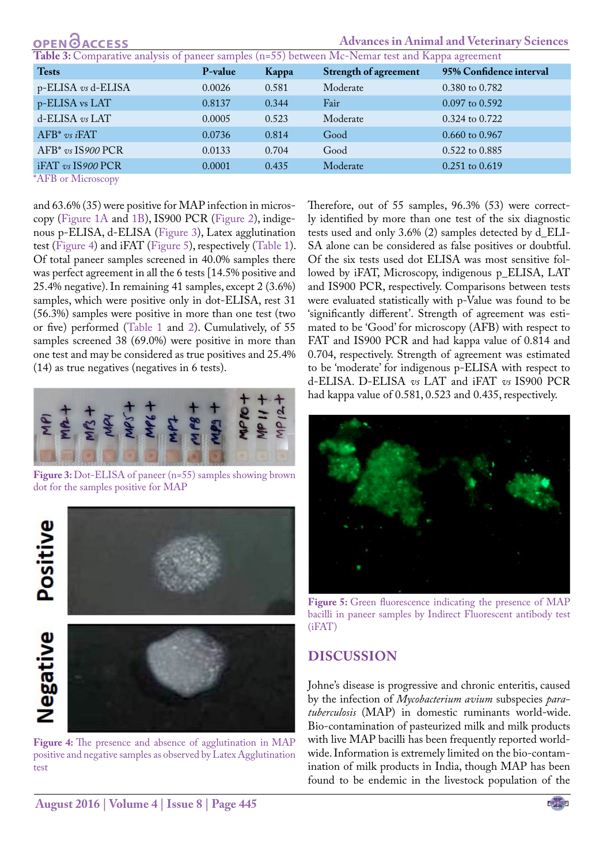| <b>OPEN</b> OACCESS                                                                              |         | <b>Advances in Animal and Veterinary Sciences</b> |                              |                         |  |  |  |  |  |  |
|--------------------------------------------------------------------------------------------------|---------|---------------------------------------------------|------------------------------|-------------------------|--|--|--|--|--|--|
| Table 3: Comparative analysis of paneer samples (n=55) between Mc-Nemar test and Kappa agreement |         |                                                   |                              |                         |  |  |  |  |  |  |
| <b>Tests</b>                                                                                     | P-value | Kappa                                             | <b>Strength of agreement</b> | 95% Confidence interval |  |  |  |  |  |  |
| $p$ -ELISA vs d-ELISA                                                                            | 0.0026  | 0.581                                             | Moderate                     | 0.380 to 0.782          |  |  |  |  |  |  |
| p-ELISA vs LAT                                                                                   | 0.8137  | 0.344                                             | Fair                         | $0.097$ to $0.592$      |  |  |  |  |  |  |
| d-ELISA vs LAT                                                                                   | 0.0005  | 0.523                                             | Moderate                     | 0.324 to 0.722          |  |  |  |  |  |  |
| $AFB^*$ vs i $FAT$                                                                               | 0.0736  | 0.814                                             | Good                         | $0.660$ to $0.967$      |  |  |  |  |  |  |
| $AFB*$ vs $IS900$ PCR                                                                            | 0.0133  | 0.704                                             | Good                         | 0.522 to 0.885          |  |  |  |  |  |  |
| iFAT vs IS900 PCR                                                                                | 0.0001  | 0.435                                             | Moderate                     | $0.251$ to $0.619$      |  |  |  |  |  |  |
| $*$ $\Lambda$ $\mathbf{CD}$ $\Lambda$ $\Lambda$                                                  |         |                                                   |                              |                         |  |  |  |  |  |  |

\*AFB or Microscopy

and 63.6% (35) were positive for MAP infection in microscopy ([Figure 1A](#page-3-0) and [1B](#page-3-0)), IS900 PCR ([Figure 2](#page-3-1)), indigenous p-ELISA, d-ELISA [\(Figure 3](#page-4-0)), Latex agglutination test [\(Figure 4\)](#page-4-1) and iFAT ([Figure 5](#page-4-2)), respectively ([Table 1](#page-3-2)). Of total paneer samples screened in 40.0% samples there was perfect agreement in all the 6 tests [14.5% positive and 25.4% negative). In remaining 41 samples, except 2 (3.6%) samples, which were positive only in dot-ELISA, rest 31 (56.3%) samples were positive in more than one test (two or five) performed ([Table 1](#page-3-2) and [2](#page-3-3)). Cumulatively, of 55 samples screened 38 (69.0%) were positive in more than one test and may be considered as true positives and 25.4% (14) as true negatives (negatives in 6 tests).



Figure 3: Dot-ELISA of paneer (n=55) samples showing brown dot for the samples positive for MAP

<span id="page-4-0"></span>

<span id="page-4-1"></span>**Figure 4:** The presence and absence of agglutination in MAP positive and negative samples as observed by Latex Agglutination test

Therefore, out of 55 samples, 96.3% (53) were correctly identified by more than one test of the six diagnostic tests used and only 3.6% (2) samples detected by d\_ELI-SA alone can be considered as false positives or doubtful. Of the six tests used dot ELISA was most sensitive followed by iFAT, Microscopy, indigenous p\_ELISA, LAT and IS900 PCR, respectively. Comparisons between tests were evaluated statistically with p-Value was found to be 'significantly different'. Strength of agreement was estimated to be 'Good' for microscopy (AFB) with respect to FAT and IS900 PCR and had kappa value of 0.814 and 0.704, respectively. Strength of agreement was estimated to be 'moderate' for indigenous p-ELISA with respect to d-ELISA. D-ELISA *vs* LAT and iFAT *vs* IS900 PCR had kappa value of 0.581, 0.523 and 0.435, respectively.



Figure 5: Green fluorescence indicating the presence of MAP bacilli in paneer samples by Indirect Fluorescent antibody test (iFAT)

# <span id="page-4-2"></span>**DISCUSSION**

Johne's disease is progressive and chronic enteritis, caused by the infection of *Mycobacterium avium* subspecies *paratuberculosis* (MAP) in domestic ruminants world-wide. Bio-contamination of pasteurized milk and milk products with live MAP bacilli has been frequently reported worldwide. Information is extremely limited on the bio-contamination of milk products in India, though MAP has been found to be endemic in the livestock population of the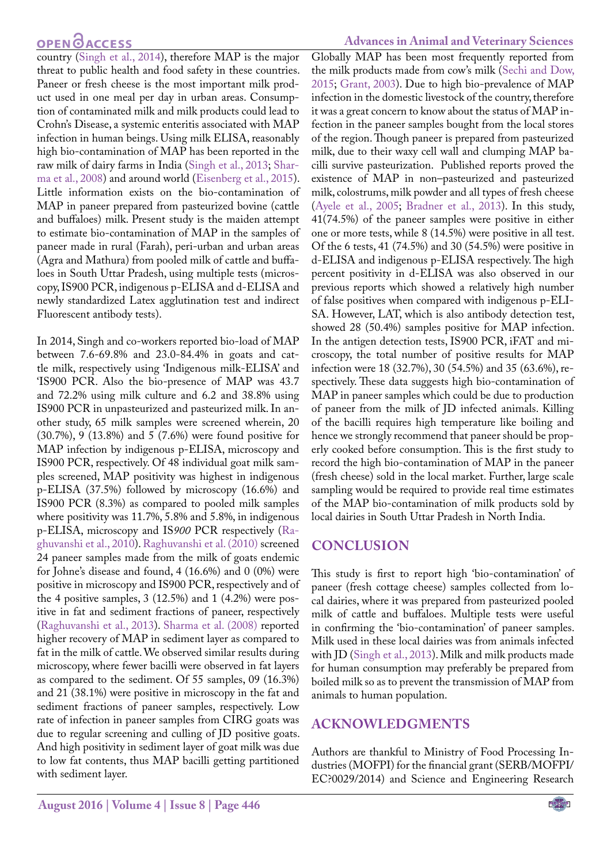# **OPEN**OACCESS

country [\(Singh et al., 2014](#page-7-9)), therefore MAP is the major threat to public health and food safety in these countries. Paneer or fresh cheese is the most important milk product used in one meal per day in urban areas. Consumption of contaminated milk and milk products could lead to Crohn's Disease, a systemic enteritis associated with MAP infection in human beings. Using milk ELISA, reasonably high bio-contamination of MAP has been reported in the raw milk of dairy farms in India ([Singh et al., 2013](#page-7-12); [Shar](#page-7-7)[ma et al., 2008](#page-7-7)) and around world [\(Eisenberg et al., 2015\)](#page-6-8). Little information exists on the bio-contamination of MAP in paneer prepared from pasteurized bovine (cattle and buffaloes) milk. Present study is the maiden attempt to estimate bio-contamination of MAP in the samples of paneer made in rural (Farah), peri-urban and urban areas (Agra and Mathura) from pooled milk of cattle and buffaloes in South Uttar Pradesh, using multiple tests (microscopy, IS900 PCR, indigenous p-ELISA and d-ELISA and newly standardized Latex agglutination test and indirect Fluorescent antibody tests).

In 2014, Singh and co-workers reported bio-load of MAP between 7.6-69.8% and 23.0-84.4% in goats and cattle milk, respectively using 'Indigenous milk-ELISA' and 'IS900 PCR. Also the bio-presence of MAP was 43.7 and 72.2% using milk culture and 6.2 and 38.8% using IS900 PCR in unpasteurized and pasteurized milk. In another study, 65 milk samples were screened wherein, 20 (30.7%), 9 (13.8%) and 5 (7.6%) were found positive for MAP infection by indigenous p-ELISA, microscopy and IS900 PCR, respectively. Of 48 individual goat milk samples screened, MAP positivity was highest in indigenous p-ELISA (37.5%) followed by microscopy (16.6%) and IS900 PCR (8.3%) as compared to pooled milk samples where positivity was 11.7%, 5.8% and 5.8%, in indigenous p-ELISA, microscopy and IS*900* PCR respectively (Raghuvanshi et al., 2010). Raghuvanshi et al. (2010) screened 24 paneer samples made from the milk of goats endemic for Johne's disease and found, 4 (16.6%) and 0 (0%) were positive in microscopy and IS900 PCR, respectively and of the 4 positive samples, 3 (12.5%) and 1 (4.2%) were positive in fat and sediment fractions of paneer, respectively ([Raghuvanshi et al., 2013](#page-7-6)). [Sharma et al. \(2008\)](#page-7-7) reported higher recovery of MAP in sediment layer as compared to fat in the milk of cattle. We observed similar results during microscopy, where fewer bacilli were observed in fat layers as compared to the sediment. Of 55 samples, 09 (16.3%) and 21 (38.1%) were positive in microscopy in the fat and sediment fractions of paneer samples, respectively. Low rate of infection in paneer samples from CIRG goats was due to regular screening and culling of JD positive goats. And high positivity in sediment layer of goat milk was due to low fat contents, thus MAP bacilli getting partitioned with sediment layer.

#### **Advances in Animal and Veterinary Sciences**

Globally MAP has been most frequently reported from the milk products made from cow's milk [\(Sechi and Dow,](#page-7-16) [2015;](#page-7-16) [Grant, 2003\)](#page-6-11). Due to high bio-prevalence of MAP infection in the domestic livestock of the country, therefore it was a great concern to know about the status of MAP infection in the paneer samples bought from the local stores of the region. Though paneer is prepared from pasteurized milk, due to their waxy cell wall and clumping MAP bacilli survive pasteurization. Published reports proved the existence of MAP in non–pasteurized and pasteurized milk, colostrums, milk powder and all types of fresh cheese [\(Ayele et al., 2005;](#page-6-12) [Bradner et al., 2013](#page-6-13)). In this study, 41(74.5%) of the paneer samples were positive in either one or more tests, while 8 (14.5%) were positive in all test. Of the 6 tests, 41 (74.5%) and 30 (54.5%) were positive in d-ELISA and indigenous p-ELISA respectively. The high percent positivity in d-ELISA was also observed in our previous reports which showed a relatively high number of false positives when compared with indigenous p-ELI-SA. However, LAT, which is also antibody detection test, showed 28 (50.4%) samples positive for MAP infection. In the antigen detection tests, IS900 PCR, iFAT and microscopy, the total number of positive results for MAP infection were 18 (32.7%), 30 (54.5%) and 35 (63.6%), respectively. These data suggests high bio-contamination of MAP in paneer samples which could be due to production of paneer from the milk of JD infected animals. Killing of the bacilli requires high temperature like boiling and hence we strongly recommend that paneer should be properly cooked before consumption. This is the first study to record the high bio-contamination of MAP in the paneer (fresh cheese) sold in the local market. Further, large scale sampling would be required to provide real time estimates of the MAP bio-contamination of milk products sold by local dairies in South Uttar Pradesh in North India.

## **CONCLUSION**

This study is first to report high 'bio-contamination' of paneer (fresh cottage cheese) samples collected from local dairies, where it was prepared from pasteurized pooled milk of cattle and buffaloes. Multiple tests were useful in confirming the 'bio-contamination' of paneer samples. Milk used in these local dairies was from animals infected with JD ([Singh et al., 2013\)](#page-7-15). Milk and milk products made for human consumption may preferably be prepared from boiled milk so as to prevent the transmission of MAP from animals to human population.

## **ACKNOWLEDGMENTS**

Authors are thankful to Ministry of Food Processing Industries (MOFPI) for the financial grant (SERB/MOFPI/ EC?0029/2014) and Science and Engineering Research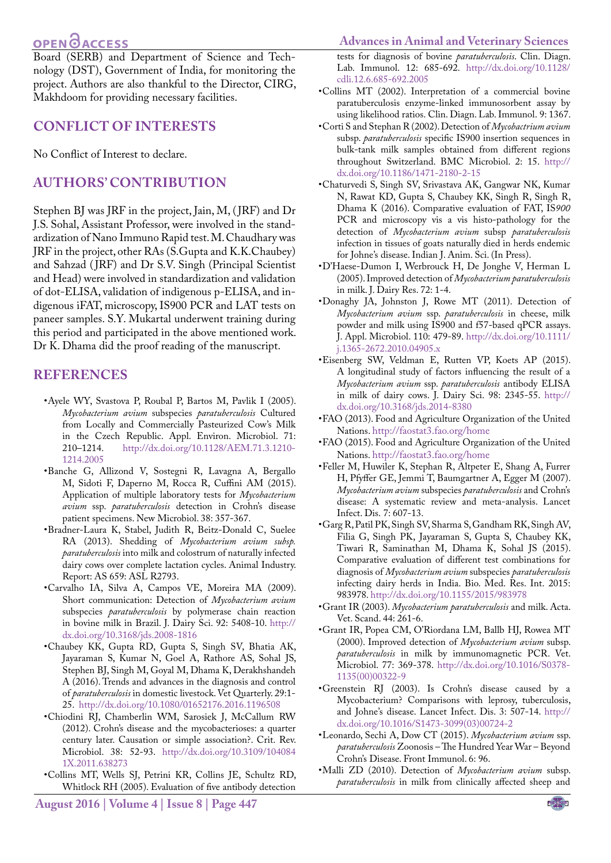# **OPEN**OACCESS

Board (SERB) and Department of Science and Technology (DST), Government of India, for monitoring the project. Authors are also thankful to the Director, CIRG, Makhdoom for providing necessary facilities.

#### **CONFLICT OF INTERESTS**

No Conflict of Interest to declare.

# **AUTHORS' CONTRIBUTION**

Stephen BJ was JRF in the project, Jain, M, (JRF) and Dr J.S. Sohal, Assistant Professor, were involved in the standardization of Nano Immuno Rapid test. M. Chaudhary was JRF in the project, other RAs (S.Gupta and K.K.Chaubey) and Sahzad (JRF) and Dr S.V. Singh (Principal Scientist and Head) were involved in standardization and validation of dot-ELISA, validation of indigenous p-ELISA, and indigenous iFAT, microscopy, IS900 PCR and LAT tests on paneer samples. S.Y. Mukartal underwent training during this period and participated in the above mentioned work. Dr K. Dhama did the proof reading of the manuscript.

#### **REFERENCES**

- <span id="page-6-12"></span>•Ayele WY, Svastova P, Roubal P, Bartos M, Pavlik I (2005). *Mycobacterium avium* subspecies *paratuberculosis* Cultured from Locally and Commercially Pasteurized Cow's Milk in the Czech Republic. Appl. Environ. Microbiol. 71:<br>210–1214. http://dx.doi.org/10.1128/AEM.71.3.1210-210–1214. [http://dx.doi.org/10.1128/AEM.71.3.1210-](http://dx.doi.org/10.1128/AEM.71.3.1210-1214.2005) [1214.2005](http://dx.doi.org/10.1128/AEM.71.3.1210-1214.2005)
- <span id="page-6-0"></span>•Banche G, Allizond V, Sostegni R, Lavagna A, Bergallo M, Sidoti F, Daperno M, Rocca R, Cuffini AM (2015). Application of multiple laboratory tests for *Mycobacterium avium* ssp. *paratuberculosis* detection in Crohn's disease patient specimens. New Microbiol. 38: 357-367.
- <span id="page-6-13"></span>•Bradner-Laura K, Stabel, Judith R, Beitz-Donald C, Suelee RA (2013). Shedding of *Mycobacterium avium subsp. paratuberculosis* into milk and colostrum of naturally infected dairy cows over complete lactation cycles. Animal Industry. Report: AS 659: ASL R2793.
- <span id="page-6-2"></span>•Carvalho IA, Silva A, Campos VE, Moreira MA (2009). Short communication: Detection of *Mycobacterium avium* subspecies *paratuberculosis* by polymerase chain reaction in bovine milk in Brazil. J. Dairy Sci. 92: 5408-10. [http://](http://dx.doi.org/10.3168/jds.2008-1816) [dx.doi.org/10.3168/jds.2008-1816](http://dx.doi.org/10.3168/jds.2008-1816)
- <span id="page-6-6"></span>•Chaubey KK, Gupta RD, Gupta S, Singh SV, Bhatia AK, Jayaraman S, Kumar N, Goel A, Rathore AS, Sohal JS, Stephen BJ, Singh M, Goyal M, Dhama K, Derakhshandeh A (2016). Trends and advances in the diagnosis and control of *paratuberculosis* in domestic livestock. Vet Quarterly. 29:1- 25. <http://dx.doi.org/10.1080/01652176.2016.1196508>
- •Chiodini RJ, Chamberlin WM, Sarosiek J, McCallum RW (2012). Crohn's disease and the mycobacterioses: a quarter century later. Causation or simple association?. Crit. Rev. Microbiol. 38: 52-93. [http://dx.doi.org/10.3109/104084](http://dx.doi.org/10.3109/1040841X.2011.638273) [1X.2011.638273](http://dx.doi.org/10.3109/1040841X.2011.638273)
- <span id="page-6-7"></span>•Collins MT, Wells SJ, Petrini KR, Collins JE, Schultz RD, Whitlock RH (2005). Evaluation of five antibody detection

#### **Advances in Animal and Veterinary Sciences**

tests for diagnosis of bovine *paratuberculosis*. Clin. Diagn. Lab. Immunol. 12: 685-692. [http://dx.doi.org/10.1128/](http://dx.doi.org/10.1128/cdli.12.6.685-692.2005) [cdli.12.6.685-692.2005](http://dx.doi.org/10.1128/cdli.12.6.685-692.2005)

- <span id="page-6-10"></span>•Collins MT (2002). Interpretation of a commercial bovine paratuberculosis enzyme-linked immunosorbent assay by using likelihood ratios. Clin. Diagn. Lab. Immunol. 9: 1367.
- <span id="page-6-1"></span>•Corti S and Stephan R (2002). Detection of *Mycobactrium avium* subsp. *paratuberculosis* specific IS900 insertion sequences in bulk-tank milk samples obtained from different regions throughout Switzerland. BMC Microbiol. 2: 15. [http://](http://dx.doi.org/10.1186/1471-2180-2-15) [dx.doi.org/10.1186/1471-2180-2-15](http://dx.doi.org/10.1186/1471-2180-2-15)
- <span id="page-6-9"></span>•Chaturvedi S, Singh SV, Srivastava AK, Gangwar NK, Kumar N, Rawat KD, Gupta S, Chaubey KK, Singh R, Singh R, Dhama K (2016). Comparative evaluation of FAT, IS*900*  PCR and microscopy vis a vis histo-pathology for the detection of *Mycobacterium avium* subsp *paratuberculosis*  infection in tissues of goats naturally died in herds endemic for Johne's disease. Indian J. Anim. Sci. (In Press).
- •D'Haese-Dumon I, Werbrouck H, De Jonghe V, Herman L (2005). Improved detection of *Mycobacterium paratuberculosis*  in milk. J. Dairy Res. 72: 1-4.
- <span id="page-6-4"></span>•Donaghy JA, Johnston J, Rowe MT (2011). Detection of *Mycobacterium avium* ssp. *paratuberculosis* in cheese, milk powder and milk using IS900 and f57-based qPCR assays. J. Appl. Microbiol. 110: 479-89. [http://dx.doi.org/10.1111/](http://dx.doi.org/10.1111/j.1365-2672.2010.04905.x) [j.1365-2672.2010.04905.x](http://dx.doi.org/10.1111/j.1365-2672.2010.04905.x)
- <span id="page-6-8"></span>•Eisenberg SW, Veldman E, Rutten VP, Koets AP (2015). A longitudinal study of factors influencing the result of a *Mycobacterium avium* ssp. *paratuberculosis* antibody ELISA in milk of dairy cows. J. Dairy Sci. 98: 2345-55. [http://](http://dx.doi.org/10.3168/jds.2014-8380) [dx.doi.org/10.3168/jds.2014-8380](http://dx.doi.org/10.3168/jds.2014-8380)
- <span id="page-6-3"></span>•FAO (2013). Food and Agriculture Organization of the United Nations. <http://faostat3.fao.org/home>
- •FAO (2015). Food and Agriculture Organization of the United Nations. <http://faostat3.fao.org/home>
- •Feller M, Huwiler K, Stephan R, Altpeter E, Shang A, Furrer H, Pfyffer GE, Jemmi T, Baumgartner A, Egger M (2007). *Mycobacterium avium* subspecies *paratuberculosis* and Crohn's disease: A systematic review and meta-analysis. Lancet Infect. Dis. 7: 607-13.
- •Garg R, Patil PK, Singh SV, Sharma S, Gandham RK, Singh AV, [Filia](http://www.hindawi.com/62069525/)  G, [Singh](http://www.hindawi.com/21352785/) PK,  [Jayaraman](http://www.hindawi.com/83978350/) S, [Gupta](http://www.hindawi.com/27930589/) S,  [Chaubey](http://www.hindawi.com/18490931/)  KK, [Tiwari](http://www.hindawi.com/63827397/) R, [Saminathan](http://www.hindawi.com/94948782/) M,  [Dhama](http://www.hindawi.com/95346537/) K,  [Sohal](http://www.hindawi.com/87240495/) JS (2015). Comparative evaluation of different test combinations for diagnosis of *Mycobacterium avium* subspecies *paratuberculosis*  infecting dairy herds in India. Bio. Med. Res. Int. 2015: 983978.<http://dx.doi.org/10.1155/2015/983978>
- <span id="page-6-11"></span>•Grant IR (2003). *Mycobacterium paratuberculosis* and milk. Acta. Vet. Scand. 44: 261-6.
- •Grant IR, Popea CM, O'Riordana LM, Ballb HJ, Rowea MT (2000). Improved detection of *Mycobacterium avium* subsp. *paratuberculosis* in milk by immunomagnetic PCR. Vet. Microbiol. 77: 369-378. [http://dx.doi.org/10.1016/S0378-](http://dx.doi.org/10.1016/S0378-1135(00)00322-9) [1135\(00\)00322-9](http://dx.doi.org/10.1016/S0378-1135(00)00322-9)
- •Greenstein RJ (2003). Is Crohn's disease caused by a Mycobacterium? Comparisons with leprosy, tuberculosis, and Johne's disease. Lancet Infect. Dis. 3: 507-14. [http://](http://dx.doi.org/10.1016/S1473-3099(03)00724-2) [dx.doi.org/10.1016/S1473-3099\(03\)00724-2](http://dx.doi.org/10.1016/S1473-3099(03)00724-2)
- •Leonardo, Sechi A, Dow CT (2015). *Mycobacterium avium* ssp. *paratuberculosis* Zoonosis – The Hundred Year War – Beyond Crohn's Disease. Front Immunol. 6: 96.
- <span id="page-6-5"></span>•Malli ZD (2010). Detection of *Mycobacterium avium* subsp. *paratuberculosis* in milk from clinically affected sheep and